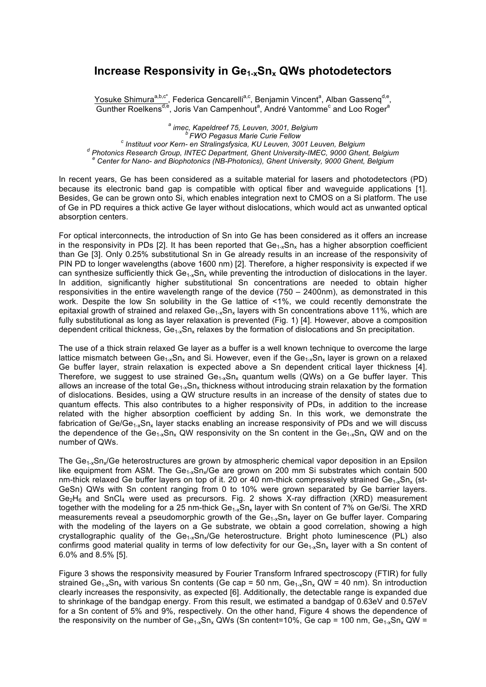## Increase Responsivity in Ge<sub>1-x</sub>Sn<sub>x</sub> QWs photodetectors

Yosuke Shimura<sup>a,b,c\*</sup>, Federica Gencarelli<sup>a,c</sup>, Benjamin Vincent<sup>a</sup>, Alban Gassenq<sup>d,e</sup>, Gunther Roelkens<sup>d,e</sup>, Joris Van Campenhout<sup>a</sup>, André Vantomme<sup>c</sup> and Loo Roger<sup>a</sup>

a imec, Kapeldreef 75, Leuven, 3001, Belgium<br>FWO Pegasus Marie Curie Fellow<br><sup>c</sup> Instituut voor Kern- en Stralingsfysica, KU Leuven, 3001 Leuven, Belgium<br><sup>d</sup> Photonics Research Group, INTEC Department, Ghent University-IMEC

In recent years, Ge has been considered as a suitable material for lasers and photodetectors (PD) because its electronic band gap is compatible with optical fiber and waveguide applications [1]. Besides, Ge can be grown onto Si, which enables integration next to CMOS on a Si platform. The use of Ge in PD requires a thick active Ge layer without dislocations, which would act as unwanted optical absorption centers.

For optical interconnects, the introduction of Sn into Ge has been considered as it offers an increase in the responsivity in PDs [2]. It has been reported that  $Ge_{1-x}Sn_x$  has a higher absorption coefficient than Ge [3]. Only 0.25% substitutional Sn in Ge already results in an increase of the responsivity of PIN PD to longer wavelengths (above 1600 nm) [2]. Therefore, a higher responsivity is expected if we can synthesize sufficiently thick  $Ge_{1x}Sn_x$  while preventing the introduction of dislocations in the layer. In addition, significantly higher substitutional Sn concentrations are needed to obtain higher responsivities in the entire wavelength range of the device (750 – 2400nm), as demonstrated in this work. Despite the low Sn solubility in the Ge lattice of <1%, we could recently demonstrate the epitaxial growth of strained and relaxed  $Ge_{1-x}Sn_x$  layers with Sn concentrations above 11%, which are fully substitutional as long as layer relaxation is prevented (Fig. 1) [4]. However, above a composition dependent critical thickness, Ge<sub>1-x</sub>Sn<sub>x</sub> relaxes by the formation of dislocations and Sn precipitation.

The use of a thick strain relaxed Ge layer as a buffer is a well known technique to overcome the large lattice mismatch between  $Ge_{1-x}Sn_x$  and Si. However, even if the  $Ge_{1-x}Sn_x$  layer is grown on a relaxed Ge buffer layer, strain relaxation is expected above a Sn dependent critical layer thickness [4]. Therefore, we suggest to use strained  $Ge_{1-x}Sn_x$  quantum wells (QWs) on a Ge buffer layer. This allows an increase of the total  $Ge_{1-x}Sn_x$  thickness without introducing strain relaxation by the formation of dislocations. Besides, using a QW structure results in an increase of the density of states due to quantum effects. This also contributes to a higher responsivity of PDs, in addition to the increase related with the higher absorption coefficient by adding Sn. In this work, we demonstrate the fabrication of  $Ge/Ge_{1x}Sn_x$  layer stacks enabling an increase responsivity of PDs and we will discuss the dependence of the Ge<sub>1-x</sub>Sn<sub>x</sub> QW responsivity on the Sn content in the Ge<sub>1-x</sub>Sn<sub>x</sub> QW and on the number of QWs.

The  $Ge_{1x}Sn_x/Ge$  heterostructures are grown by atmospheric chemical vapor deposition in an Epsilon like equipment from ASM. The  $Ge_{1x}Sn_x/Ge$  are grown on 200 mm Si substrates which contain 500 nm-thick relaxed Ge buffer layers on top of it. 20 or 40 nm-thick compressively strained  $Ge_{1-x}Sn_x$  (st-GeSn) QWs with Sn content ranging from 0 to 10% were grown separated by Ge barrier layers.  $Ge_2H_6$  and SnCl<sub>4</sub> were used as precursors. Fig. 2 shows X-ray diffraction (XRD) measurement together with the modeling for a 25 nm-thick  $Ge_{1x}Sn_x$  layer with Sn content of 7% on Ge/Si. The XRD measurements reveal a pseudomorphic growth of the  $Ge_{1-x}Sn_x$  layer on Ge buffer layer. Comparing with the modeling of the layers on a Ge substrate, we obtain a good correlation, showing a high crystallographic quality of the  $Ge_{1-x}Sn_x/Ge$  heterostructure. Bright photo luminescence (PL) also confirms good material quality in terms of low defectivity for our  $Ge_{1-x}Sn_x$  layer with a Sn content of 6.0% and 8.5% [5].

Figure 3 shows the responsivity measured by Fourier Transform Infrared spectroscopy (FTIR) for fully strained Ge<sub>1-x</sub>Sn<sub>x</sub> with various Sn contents (Ge cap = 50 nm, Ge<sub>1-x</sub>Sn<sub>x</sub> QW = 40 nm). Sn introduction clearly increases the responsivity, as expected [6]. Additionally, the detectable range is expanded due to shrinkage of the bandgap energy. From this result, we estimated a bandgap of 0.63eV and 0.57eV for a Sn content of 5% and 9%, respectively. On the other hand, Figure 4 shows the dependence of the responsivity on the number of Ge<sub>1-x</sub>Sn<sub>x</sub> QWs (Sn content=10%, Ge cap = 100 nm, Ge<sub>1-x</sub>Sn<sub>x</sub> QW =